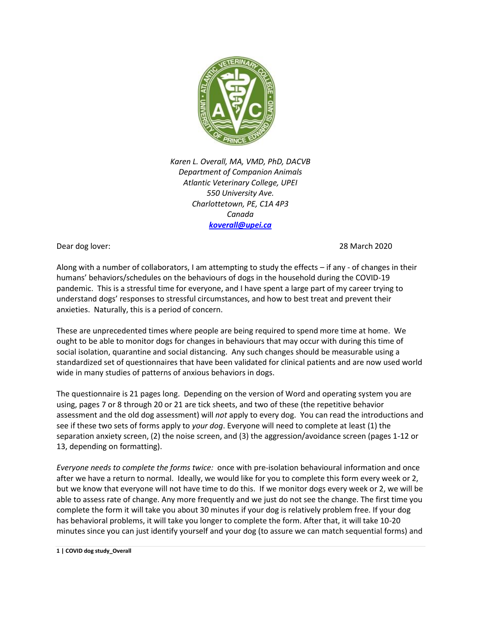

*Karen L. Overall, MA, VMD, PhD, DACVB Department of Companion Animals Atlantic Veterinary College, UPEI 550 University Ave. Charlottetown, PE, C1A 4P3 Canada [koverall@upei.ca](mailto:koverall@upei.ca)*

Dear dog lover: 28 March 2020

Along with a number of collaborators, I am attempting to study the effects – if any - of changes in their humans' behaviors/schedules on the behaviours of dogs in the household during the COVID-19 pandemic. This is a stressful time for everyone, and I have spent a large part of my career trying to understand dogs' responses to stressful circumstances, and how to best treat and prevent their anxieties. Naturally, this is a period of concern.

These are unprecedented times where people are being required to spend more time at home. We ought to be able to monitor dogs for changes in behaviours that may occur with during this time of social isolation, quarantine and social distancing. Any such changes should be measurable using a standardized set of questionnaires that have been validated for clinical patients and are now used world wide in many studies of patterns of anxious behaviors in dogs.

The questionnaire is 21 pages long. Depending on the version of Word and operating system you are using, pages 7 or 8 through 20 or 21 are tick sheets, and two of these (the repetitive behavior assessment and the old dog assessment) will *not* apply to every dog. You can read the introductions and see if these two sets of forms apply to *your dog*. Everyone will need to complete at least (1) the separation anxiety screen, (2) the noise screen, and (3) the aggression/avoidance screen (pages 1-12 or 13, depending on formatting).

*Everyone needs to complete the forms twice:* once with pre-isolation behavioural information and once after we have a return to normal. Ideally, we would like for you to complete this form every week or 2, but we know that everyone will not have time to do this. If we monitor dogs every week or 2, we will be able to assess rate of change. Any more frequently and we just do not see the change. The first time you complete the form it will take you about 30 minutes if your dog is relatively problem free. If your dog has behavioral problems, it will take you longer to complete the form. After that, it will take 10-20 minutes since you can just identify yourself and your dog (to assure we can match sequential forms) and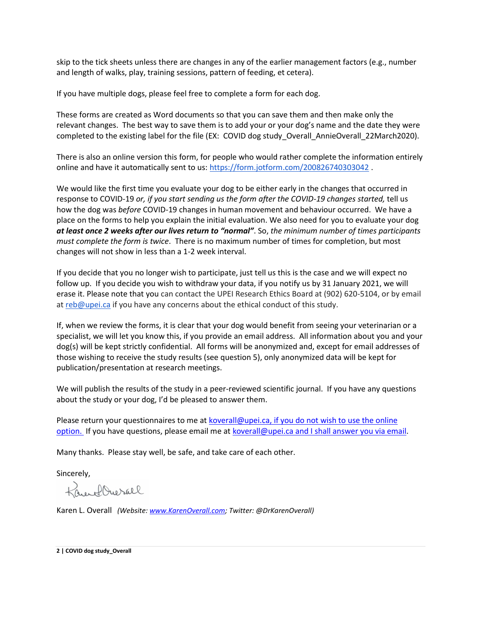skip to the tick sheets unless there are changes in any of the earlier management factors (e.g., number and length of walks, play, training sessions, pattern of feeding, et cetera).

If you have multiple dogs, please feel free to complete a form for each dog.

These forms are created as Word documents so that you can save them and then make only the relevant changes. The best way to save them is to add your or your dog's name and the date they were completed to the existing label for the file (EX: COVID dog study\_Overall\_AnnieOverall\_22March2020).

There is also an online version this form, for people who would rather complete the information entirely online and have it automatically sent to us:<https://form.jotform.com/200826740303042>.

We would like the first time you evaluate your dog to be either early in the changes that occurred in response to COVID-19 *or, if you start sending us the form after the COVID-19 changes started,* tell us how the dog was *before* COVID-19 changes in human movement and behaviour occurred. We have a place on the forms to help you explain the initial evaluation. We also need for you to evaluate your dog *at least once 2 weeks after our lives return to "normal"*. So, *the minimum number of times participants must complete the form is twice*. There is no maximum number of times for completion, but most changes will not show in less than a 1-2 week interval.

If you decide that you no longer wish to participate, just tell us this is the case and we will expect no follow up. If you decide you wish to withdraw your data, if you notify us by 31 January 2021, we will erase it. Please note that you can contact the UPEI Research Ethics Board at (902) 620-5104, or by email at [reb@upei.ca](mailto:reb@upei.ca) if you have any concerns about the ethical conduct of this study.

If, when we review the forms, it is clear that your dog would benefit from seeing your veterinarian or a specialist, we will let you know this, if you provide an email address. All information about you and your dog(s) will be kept strictly confidential. All forms will be anonymized and, except for email addresses of those wishing to receive the study results (see question 5), only anonymized data will be kept for publication/presentation at research meetings.

We will publish the results of the study in a peer-reviewed scientific journal. If you have any questions about the study or your dog, I'd be pleased to answer them.

Please return your questionnaires to me at [koverall@upei.ca,](mailto:koverall@upei.ca) if you do not wish to use the online option. If you have questions, please email me at [koverall@upei.ca](mailto:koverall@upei.ca) and I shall answer you via email.

Many thanks. Please stay well, be safe, and take care of each other.

Sincerely,

Kauldwerall

Karen L. Overall *(Website[: www.KarenOverall.com;](http://www.karenoverall.com/) Twitter: @DrKarenOverall)*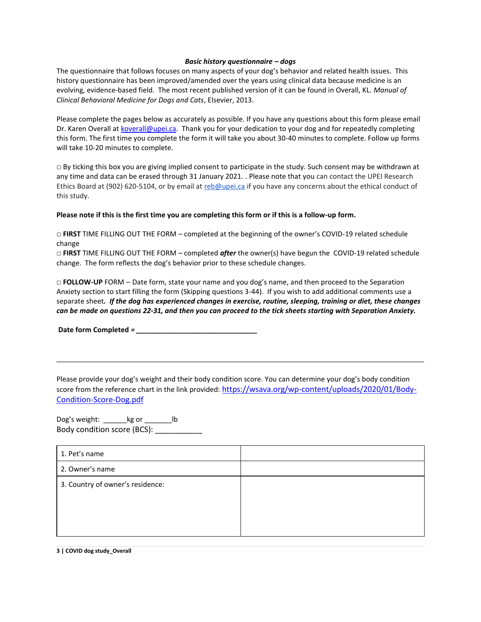#### *Basic history questionnaire – dogs*

The questionnaire that follows focuses on many aspects of your dog's behavior and related health issues. This history questionnaire has been improved/amended over the years using clinical data because medicine is an evolving, evidence-based field. The most recent published version of it can be found in Overall, KL. *Manual of Clinical Behavioral Medicine for Dogs and Cats*, Elsevier, 2013.

Please complete the pages below as accurately as possible. If you have any questions about this form please email Dr. Karen Overall at [koverall@upei.ca.](mailto:koverall@upei.ca) Thank you for your dedication to your dog and for repeatedly completing this form. The first time you complete the form it will take you about 30-40 minutes to complete. Follow up forms will take 10-20 minutes to complete.

**□** By ticking this box you are giving implied consent to participate in the study. Such consent may be withdrawn at any time and data can be erased through 31 January 2021. . Please note that you can contact the UPEI Research Ethics Board at (902) 620-5104, or by email at [reb@upei.ca](mailto:reb@upei.ca) if you have any concerns about the ethical conduct of this study.

#### **Please note if this is the first time you are completing this form or if this is a follow-up form.**

**□ FIRST** TIME FILLING OUT THE FORM – completed at the beginning of the owner's COVID-19 related schedule change

**□ FIRST** TIME FILLING OUT THE FORM – completed *after* the owner(s) have begun the COVID-19 related schedule change. The form reflects the dog's behavior prior to these schedule changes.

**□ FOLLOW-UP** FORM *–* Date form, state your name and you dog's name, and then proceed to the Separation Anxiety section to start filling the form (Skipping questions 3-44). If you wish to add additional comments use a separate sheet*. If the dog has experienced changes in exercise, routine, sleeping, training or diet, these changes can be made on questions 22-31, and then you can proceed to the tick sheets starting with Separation Anxiety.*

**Date form Completed** *= \_\_\_\_\_\_\_\_\_\_\_\_\_\_\_\_\_\_\_\_\_\_\_\_\_\_\_\_\_\_\_*

Please provide your dog's weight and their body condition score. You can determine your dog's body condition score from the reference chart in the link provided: [https://wsava.org/wp-content/uploads/2020/01/Body-](https://wsava.org/wp-content/uploads/2020/01/Body-Condition-Score-Dog.pdf)[Condition-Score-Dog.pdf](https://wsava.org/wp-content/uploads/2020/01/Body-Condition-Score-Dog.pdf)

Dog's weight: \_\_\_\_\_\_kg or \_\_\_\_\_\_\_lb Body condition score (BCS): \_\_\_\_\_\_\_\_\_\_\_\_\_\_\_

| 1. Pet's name                    |  |
|----------------------------------|--|
| 2. Owner's name                  |  |
| 3. Country of owner's residence: |  |
|                                  |  |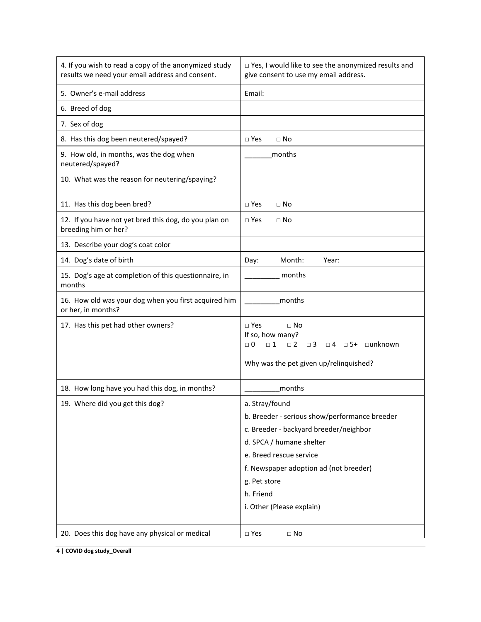| 4. If you wish to read a copy of the anonymized study<br>results we need your email address and consent. | □ Yes, I would like to see the anonymized results and<br>give consent to use my email address.                                                                                                                                                                       |
|----------------------------------------------------------------------------------------------------------|----------------------------------------------------------------------------------------------------------------------------------------------------------------------------------------------------------------------------------------------------------------------|
| 5. Owner's e-mail address                                                                                | Email:                                                                                                                                                                                                                                                               |
| 6. Breed of dog                                                                                          |                                                                                                                                                                                                                                                                      |
| 7. Sex of dog                                                                                            |                                                                                                                                                                                                                                                                      |
| 8. Has this dog been neutered/spayed?                                                                    | $\square$ Yes<br>$\Box$ No                                                                                                                                                                                                                                           |
| 9. How old, in months, was the dog when<br>neutered/spayed?                                              | months                                                                                                                                                                                                                                                               |
| 10. What was the reason for neutering/spaying?                                                           |                                                                                                                                                                                                                                                                      |
| 11. Has this dog been bred?                                                                              | $\Box$ Yes<br>$\Box$ No                                                                                                                                                                                                                                              |
| 12. If you have not yet bred this dog, do you plan on<br>breeding him or her?                            | $\Box$ Yes<br>$\Box$ No                                                                                                                                                                                                                                              |
| 13. Describe your dog's coat color                                                                       |                                                                                                                                                                                                                                                                      |
| 14. Dog's date of birth                                                                                  | Month:<br>Day:<br>Year:                                                                                                                                                                                                                                              |
| 15. Dog's age at completion of this questionnaire, in<br>months                                          | months                                                                                                                                                                                                                                                               |
| 16. How old was your dog when you first acquired him<br>or her, in months?                               | months                                                                                                                                                                                                                                                               |
| 17. Has this pet had other owners?                                                                       | $\square$ Yes<br>$\Box$ No<br>If so, how many?<br>$\Box$ 1<br>$\Box$ 0<br>$\Box$ 2<br>$\Box$ 4 $\Box$ 5+ $\Box$ unknown<br>$\Box$ 3<br>Why was the pet given up/relinquished?                                                                                        |
| 18. How long have you had this dog, in months?                                                           | months                                                                                                                                                                                                                                                               |
| 19. Where did you get this dog?                                                                          | a. Stray/found<br>b. Breeder - serious show/performance breeder<br>c. Breeder - backyard breeder/neighbor<br>d. SPCA / humane shelter<br>e. Breed rescue service<br>f. Newspaper adoption ad (not breeder)<br>g. Pet store<br>h. Friend<br>i. Other (Please explain) |
| 20. Does this dog have any physical or medical                                                           | $\Box$ Yes<br>$\Box$ No                                                                                                                                                                                                                                              |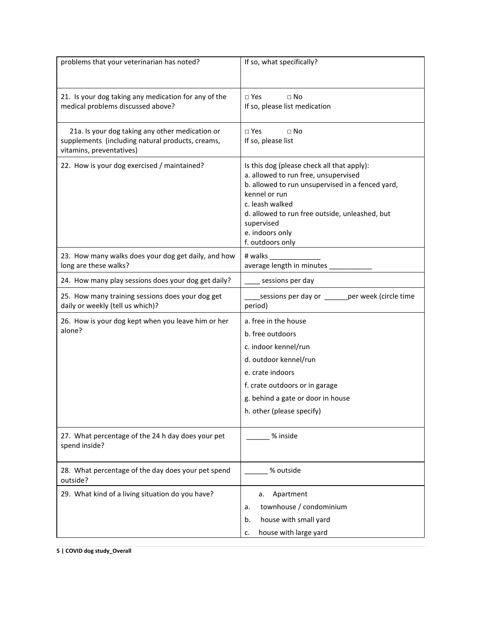| problems that your veterinarian has noted?                                                                                      | If so, what specifically?                                                                                                                                                                                                                                                         |
|---------------------------------------------------------------------------------------------------------------------------------|-----------------------------------------------------------------------------------------------------------------------------------------------------------------------------------------------------------------------------------------------------------------------------------|
| 21. Is your dog taking any medication for any of the<br>medical problems discussed above?                                       | $\Box$ Yes<br>$\Box$ No<br>If so, please list medication                                                                                                                                                                                                                          |
| 21a. Is your dog taking any other medication or<br>supplements (including natural products, creams,<br>vitamins, preventatives) | $\Box$ Yes<br>$\Box$ No<br>If so, please list                                                                                                                                                                                                                                     |
| 22. How is your dog exercised / maintained?                                                                                     | Is this dog (please check all that apply):<br>a. allowed to run free, unsupervised<br>b. allowed to run unsupervised in a fenced yard,<br>kennel or run<br>c. leash walked<br>d. allowed to run free outside, unleashed, but<br>supervised<br>e. indoors only<br>f. outdoors only |
| 23. How many walks does your dog get daily, and how<br>long are these walks?                                                    | # walks<br>average length in minutes                                                                                                                                                                                                                                              |
| 24. How many play sessions does your dog get daily?                                                                             | _ sessions per day                                                                                                                                                                                                                                                                |
| 25. How many training sessions does your dog get<br>daily or weekly (tell us which)?                                            | _sessions per day or ______per week (circle time<br>period)                                                                                                                                                                                                                       |
| 26. How is your dog kept when you leave him or her<br>alone?                                                                    | a. free in the house<br>b. free outdoors<br>c. indoor kennel/run<br>d. outdoor kennel/run<br>e. crate indoors<br>f. crate outdoors or in garage<br>g. behind a gate or door in house<br>h. other (please specify)                                                                 |
| 27. What percentage of the 24 h day does your pet<br>spend inside?                                                              | % inside                                                                                                                                                                                                                                                                          |
| 28. What percentage of the day does your pet spend<br>outside?                                                                  | % outside                                                                                                                                                                                                                                                                         |
| 29. What kind of a living situation do you have?                                                                                | Apartment<br>а.<br>townhouse / condominium<br>a.<br>house with small yard<br>b.<br>house with large yard<br>c.                                                                                                                                                                    |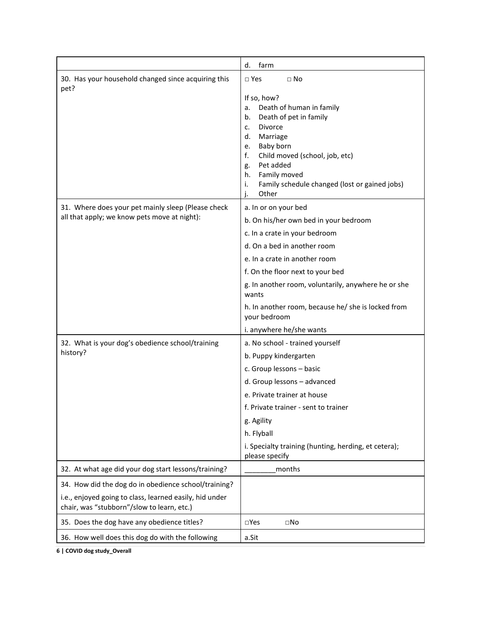|                                                                                                       | farm<br>d.                                                                                                                                                                                                                                                                                 |
|-------------------------------------------------------------------------------------------------------|--------------------------------------------------------------------------------------------------------------------------------------------------------------------------------------------------------------------------------------------------------------------------------------------|
| 30. Has your household changed since acquiring this<br>pet?                                           | $\Box$ Yes<br>$\Box$ No                                                                                                                                                                                                                                                                    |
|                                                                                                       | If so, how?<br>Death of human in family<br>a.<br>Death of pet in family<br>b.<br>Divorce<br>c.<br>Marriage<br>d.<br>Baby born<br>e.<br>f.<br>Child moved (school, job, etc)<br>Pet added<br>g.<br>Family moved<br>h.<br>i.<br>Family schedule changed (lost or gained jobs)<br>j.<br>Other |
| 31. Where does your pet mainly sleep (Please check<br>all that apply; we know pets move at night):    | a. In or on your bed                                                                                                                                                                                                                                                                       |
|                                                                                                       | b. On his/her own bed in your bedroom                                                                                                                                                                                                                                                      |
|                                                                                                       | c. In a crate in your bedroom                                                                                                                                                                                                                                                              |
|                                                                                                       | d. On a bed in another room                                                                                                                                                                                                                                                                |
|                                                                                                       | e. In a crate in another room                                                                                                                                                                                                                                                              |
|                                                                                                       | f. On the floor next to your bed                                                                                                                                                                                                                                                           |
|                                                                                                       | g. In another room, voluntarily, anywhere he or she<br>wants                                                                                                                                                                                                                               |
|                                                                                                       | h. In another room, because he/ she is locked from<br>your bedroom                                                                                                                                                                                                                         |
|                                                                                                       | i. anywhere he/she wants                                                                                                                                                                                                                                                                   |
| 32. What is your dog's obedience school/training                                                      | a. No school - trained yourself                                                                                                                                                                                                                                                            |
| history?                                                                                              | b. Puppy kindergarten                                                                                                                                                                                                                                                                      |
|                                                                                                       | c. Group lessons - basic                                                                                                                                                                                                                                                                   |
|                                                                                                       | d. Group lessons - advanced                                                                                                                                                                                                                                                                |
|                                                                                                       | e. Private trainer at house                                                                                                                                                                                                                                                                |
|                                                                                                       | f. Private trainer - sent to trainer                                                                                                                                                                                                                                                       |
|                                                                                                       | g. Agility                                                                                                                                                                                                                                                                                 |
|                                                                                                       | h. Flyball                                                                                                                                                                                                                                                                                 |
|                                                                                                       | i. Specialty training (hunting, herding, et cetera);<br>please specify                                                                                                                                                                                                                     |
| 32. At what age did your dog start lessons/training?                                                  | months                                                                                                                                                                                                                                                                                     |
| 34. How did the dog do in obedience school/training?                                                  |                                                                                                                                                                                                                                                                                            |
| i.e., enjoyed going to class, learned easily, hid under<br>chair, was "stubborn"/slow to learn, etc.) |                                                                                                                                                                                                                                                                                            |
| 35. Does the dog have any obedience titles?                                                           | $\square$ Yes<br>$\square$ No                                                                                                                                                                                                                                                              |
| 36. How well does this dog do with the following                                                      | a.Sit                                                                                                                                                                                                                                                                                      |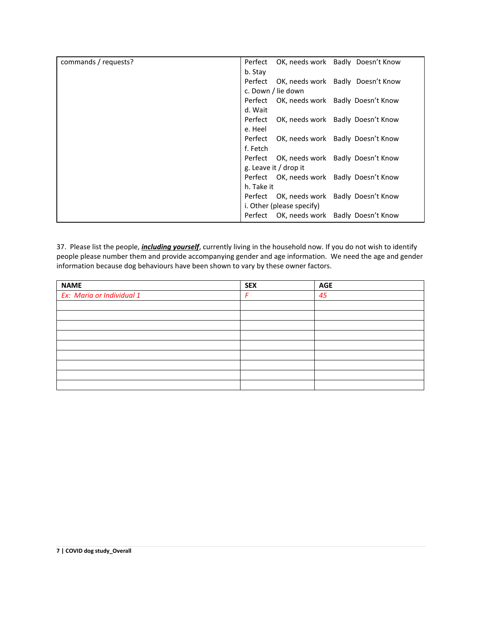| commands / requests? | Perfect OK, needs work Badly Doesn't Know    |
|----------------------|----------------------------------------------|
|                      | b. Stay                                      |
|                      | Perfect OK, needs work Badly Doesn't Know    |
|                      | c. Down / lie down                           |
|                      | Perfect OK, needs work Badly Doesn't Know    |
|                      | d. Wait                                      |
|                      | Perfect<br>OK, needs work Badly Doesn't Know |
|                      | e. Heel                                      |
|                      | OK, needs work Badly Doesn't Know<br>Perfect |
|                      | f. Fetch                                     |
|                      | Perfect OK, needs work Badly Doesn't Know    |
|                      | g. Leave it / drop it                        |
|                      | Perfect OK, needs work Badly Doesn't Know    |
|                      | h. Take it                                   |
|                      | Perfect OK, needs work Badly Doesn't Know    |
|                      | i. Other (please specify)                    |
|                      | Perfect OK, needs work Badly Doesn't Know    |

37. Please list the people, *including yourself*, currently living in the household now. If you do not wish to identify people please number them and provide accompanying gender and age information. We need the age and gender information because dog behaviours have been shown to vary by these owner factors.

| <b>NAME</b>               | <b>SEX</b> | <b>AGE</b> |
|---------------------------|------------|------------|
| Ex: Maria or Individual 1 | F          | 45         |
|                           |            |            |
|                           |            |            |
|                           |            |            |
|                           |            |            |
|                           |            |            |
|                           |            |            |
|                           |            |            |
|                           |            |            |
|                           |            |            |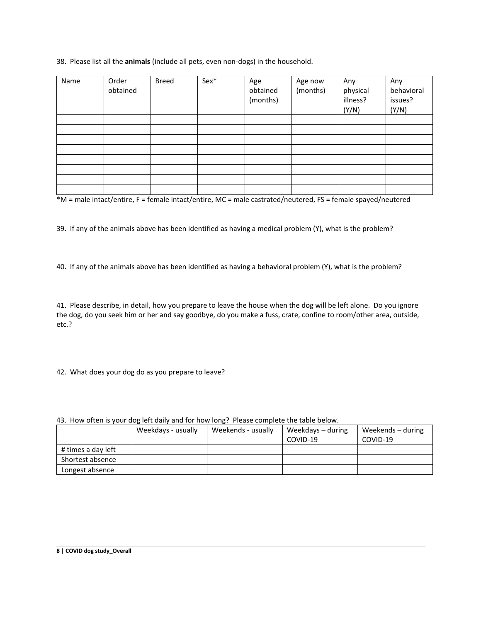## 38. Please list all the **animals** (include all pets, even non-dogs) in the household.

| Name | Order<br>obtained | Breed | Sex* | Age<br>obtained<br>(months) | Age now<br>(months) | Any<br>physical<br>illness?<br>(Y/N) | Any<br>behavioral<br>issues?<br>(Y/N) |
|------|-------------------|-------|------|-----------------------------|---------------------|--------------------------------------|---------------------------------------|
|      |                   |       |      |                             |                     |                                      |                                       |
|      |                   |       |      |                             |                     |                                      |                                       |
|      |                   |       |      |                             |                     |                                      |                                       |
|      |                   |       |      |                             |                     |                                      |                                       |
|      |                   |       |      |                             |                     |                                      |                                       |
|      |                   |       |      |                             |                     |                                      |                                       |
|      |                   |       |      |                             |                     |                                      |                                       |
|      |                   |       |      |                             |                     |                                      |                                       |

\*M = male intact/entire, F = female intact/entire, MC = male castrated/neutered, FS = female spayed/neutered

39. If any of the animals above has been identified as having a medical problem (Y), what is the problem?

40. If any of the animals above has been identified as having a behavioral problem (Y), what is the problem?

41. Please describe, in detail, how you prepare to leave the house when the dog will be left alone. Do you ignore the dog, do you seek him or her and say goodbye, do you make a fuss, crate, confine to room/other area, outside, etc.?

42. What does your dog do as you prepare to leave?

|                    | Weekdays - usually | Weekends - usually | Weekdays – during | Weekends – during |  |
|--------------------|--------------------|--------------------|-------------------|-------------------|--|
|                    |                    |                    | COVID-19          | COVID-19          |  |
| # times a day left |                    |                    |                   |                   |  |
| Shortest absence   |                    |                    |                   |                   |  |
| Longest absence    |                    |                    |                   |                   |  |

43. How often is your dog left daily and for how long? Please complete the table below.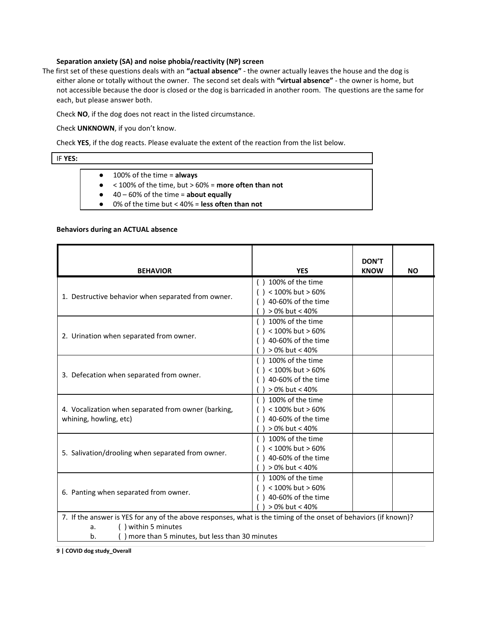#### **Separation anxiety (SA) and noise phobia/reactivity (NP) screen**

The first set of these questions deals with an **"actual absence"** - the owner actually leaves the house and the dog is either alone or totally without the owner. The second set deals with **"virtual absence"** - the owner is home, but not accessible because the door is closed or the dog is barricaded in another room. The questions are the same for each, but please answer both.

Check **NO**, if the dog does not react in the listed circumstance.

Check **UNKNOWN**, if you don't know.

Check **YES**, if the dog reacts. Please evaluate the extent of the reaction from the list below.

#### IF **YES:**

- 100% of the time = **always**
- < 100% of the time, but > 60% = **more often than not**
- 40 60% of the time = **about equally**
- 0% of the time but < 40% = **less often than not**

#### **Behaviors during an ACTUAL absence**

| <b>BEHAVIOR</b>                                                                                                                                                                                      | <b>YES</b>                                                                     | <b>DON'T</b><br><b>KNOW</b> | <b>NO</b> |
|------------------------------------------------------------------------------------------------------------------------------------------------------------------------------------------------------|--------------------------------------------------------------------------------|-----------------------------|-----------|
| 1. Destructive behavior when separated from owner.                                                                                                                                                   | 100% of the time<br>< 100% but > 60%<br>40-60% of the time<br>> 0% but < 40%   |                             |           |
| 2. Urination when separated from owner.                                                                                                                                                              | 100% of the time<br>< 100% but > 60%<br>40-60% of the time<br>> 0% but < 40%   |                             |           |
| 3. Defecation when separated from owner.                                                                                                                                                             | 100% of the time<br>< 100% but > 60%<br>40-60% of the time<br>$>0\%$ but < 40% |                             |           |
| 4. Vocalization when separated from owner (barking,<br>whining, howling, etc)                                                                                                                        | 100% of the time<br>< 100% but > 60%<br>40-60% of the time<br>> 0% but < 40%   |                             |           |
| 5. Salivation/drooling when separated from owner.                                                                                                                                                    | 100% of the time<br>< 100% but > 60%<br>40-60% of the time<br>$>0\%$ but < 40% |                             |           |
| 6. Panting when separated from owner.                                                                                                                                                                | 100% of the time<br>< 100% but > 60%<br>40-60% of the time<br>> 0% but < 40%   |                             |           |
| 7. If the answer is YES for any of the above responses, what is the timing of the onset of behaviors (if known)?<br>() within 5 minutes<br>а.<br>more than 5 minutes, but less than 30 minutes<br>b. |                                                                                |                             |           |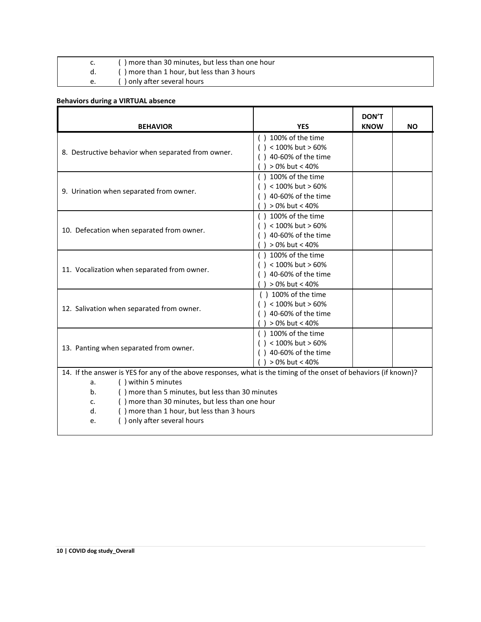|    | () more than 30 minutes, but less than one hour |
|----|-------------------------------------------------|
|    | () more than 1 hour, but less than 3 hours      |
| e. | () only after several hours                     |

# **Behaviors during a VIRTUAL absence**

| <b>BEHAVIOR</b>                                                                                                                                                                                                                                                                                                                                            | <b>YES</b>                                                                                             | <b>DON'T</b><br><b>KNOW</b> | <b>NO</b> |
|------------------------------------------------------------------------------------------------------------------------------------------------------------------------------------------------------------------------------------------------------------------------------------------------------------------------------------------------------------|--------------------------------------------------------------------------------------------------------|-----------------------------|-----------|
| 8. Destructive behavior when separated from owner.                                                                                                                                                                                                                                                                                                         | $( ) 100\%$ of the time<br>$( ) < 100\%$ but > 60%<br>$( ) 40-60%$ of the time<br>$) > 0\%$ but < 40%  |                             |           |
| 9. Urination when separated from owner.                                                                                                                                                                                                                                                                                                                    | $( ) 100\%$ of the time<br>$( ) < 100\%$ but > 60%<br>$( ) 40-60%$ of the time<br>$>0\%$ but < 40%     |                             |           |
| 10. Defecation when separated from owner.                                                                                                                                                                                                                                                                                                                  | $( ) 100\%$ of the time<br>$( ) < 100\%$ but > 60%<br>$( ) 40-60%$ of the time<br>$( )$ > 0% but < 40% |                             |           |
| 11. Vocalization when separated from owner.                                                                                                                                                                                                                                                                                                                | $( ) 100\%$ of the time<br>$( ) < 100\%$ but > 60%<br>$( ) 40-60%$ of the time<br>$( )$ > 0% but < 40% |                             |           |
| 12. Salivation when separated from owner.                                                                                                                                                                                                                                                                                                                  | $( ) 100\%$ of the time<br>$( ) < 100\%$ but > 60%<br>$( ) 40-60%$ of the time<br>$) > 0\%$ but < 40%  |                             |           |
| 13. Panting when separated from owner.                                                                                                                                                                                                                                                                                                                     | $( ) 100\%$ of the time<br>$( ) < 100\%$ but > 60%<br>$( ) 40-60%$ of the time<br>> 0% but < 40%       |                             |           |
| 14. If the answer is YES for any of the above responses, what is the timing of the onset of behaviors (if known)?<br>() within 5 minutes<br>a.<br>() more than 5 minutes, but less than 30 minutes<br>b.<br>() more than 30 minutes, but less than one hour<br>c.<br>() more than 1 hour, but less than 3 hours<br>d.<br>() only after several hours<br>e. |                                                                                                        |                             |           |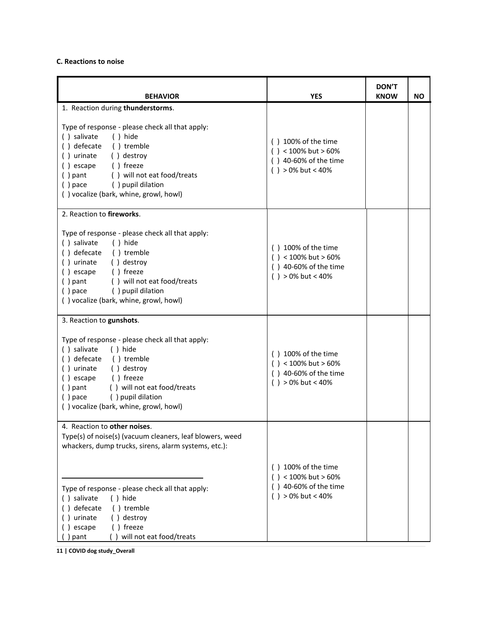# **C. Reactions to noise**

| <b>BEHAVIOR</b>                                                                                                                                                                                                                                                                                                  | <b>YES</b>                                                                                             | <b>DON'T</b><br><b>KNOW</b> | <b>NO</b> |
|------------------------------------------------------------------------------------------------------------------------------------------------------------------------------------------------------------------------------------------------------------------------------------------------------------------|--------------------------------------------------------------------------------------------------------|-----------------------------|-----------|
| 1. Reaction during thunderstorms.                                                                                                                                                                                                                                                                                |                                                                                                        |                             |           |
| Type of response - please check all that apply:<br>() salivate<br>() hide<br>() defecate<br>() tremble<br>() urinate<br>() destroy<br>() freeze<br>() escape<br>() will not eat food/treats<br>$( )$ pant<br>() pace () pupil dilation<br>() vocalize (bark, whine, growl, howl)                                 | $( ) 100\%$ of the time<br>$( ) < 100\%$ but > 60%<br>$( ) 40-60%$ of the time<br>$( )$ > 0% but < 40% |                             |           |
| 2. Reaction to fireworks.                                                                                                                                                                                                                                                                                        |                                                                                                        |                             |           |
| Type of response - please check all that apply:<br>() salivate<br>() hide<br>() defecate () tremble<br>() urinate<br>() destroy<br>() freeze<br>() escape<br>$( )$ pant<br>() will not eat food/treats<br>() pace () pupil dilation<br>() vocalize (bark, whine, growl, howl)                                    | $( ) 100\%$ of the time<br>$( ) < 100\%$ but > 60%<br>$( ) 40-60%$ of the time<br>$( )$ > 0% but < 40% |                             |           |
| 3. Reaction to gunshots.                                                                                                                                                                                                                                                                                         |                                                                                                        |                             |           |
| Type of response - please check all that apply:<br>() salivate<br>() hide<br>() defecate () tremble<br>() urinate<br>() destroy<br>() escape () freeze<br>$( )$ pant<br>() will not eat food/treats<br>() pupil dilation<br>$()$ pace<br>() vocalize (bark, whine, growl, howl)                                  | $( ) 100\%$ of the time<br>$( ) < 100\%$ but > 60%<br>() 40-60% of the time<br>$( )$ > 0% but < 40%    |                             |           |
| 4. Reaction to other noises.                                                                                                                                                                                                                                                                                     |                                                                                                        |                             |           |
| Type(s) of noise(s) (vacuum cleaners, leaf blowers, weed<br>whackers, dump trucks, sirens, alarm systems, etc.):<br>Type of response - please check all that apply:<br>() salivate<br>$( )$ hide<br>defecate<br>() tremble<br>urinate<br>() destroy<br>() freeze<br>) escape<br>will not eat food/treats<br>pant | $( ) 100\%$ of the time<br>$( ) < 100\%$ but > 60%<br>() 40-60% of the time<br>$( )$ > 0% but < 40%    |                             |           |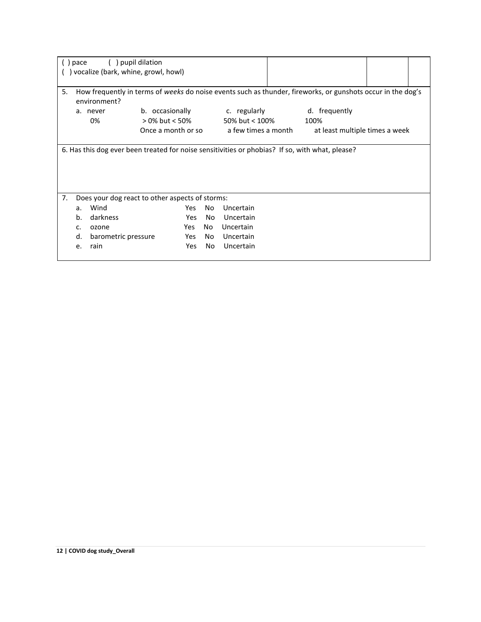|                                                                                                                                   | pace | pupil dilation<br>) vocalize (bark, whine, growl, howl) |                                   |     |                                |                                                                                                 |  |  |  |
|-----------------------------------------------------------------------------------------------------------------------------------|------|---------------------------------------------------------|-----------------------------------|-----|--------------------------------|-------------------------------------------------------------------------------------------------|--|--|--|
| 5.<br>How frequently in terms of weeks do noise events such as thunder, fireworks, or gunshots occur in the dog's<br>environment? |      |                                                         |                                   |     |                                |                                                                                                 |  |  |  |
|                                                                                                                                   |      | a. never<br>0%                                          | b. occasionally<br>> 0% but < 50% |     | c. regularly<br>50% but < 100% | d. frequently<br>100%                                                                           |  |  |  |
|                                                                                                                                   |      |                                                         | Once a month or so                |     | a few times a month            | at least multiple times a week                                                                  |  |  |  |
|                                                                                                                                   |      |                                                         |                                   |     |                                | 6. Has this dog ever been treated for noise sensitivities or phobias? If so, with what, please? |  |  |  |
| 7.                                                                                                                                |      | Does your dog react to other aspects of storms:         |                                   |     |                                |                                                                                                 |  |  |  |
|                                                                                                                                   | a.   | Wind                                                    | Yes                               | No  | Uncertain                      |                                                                                                 |  |  |  |
|                                                                                                                                   | b.   | darkness                                                | Yes                               | No. | Uncertain                      |                                                                                                 |  |  |  |
|                                                                                                                                   | c.   | ozone                                                   | Yes                               | No. | Uncertain                      |                                                                                                 |  |  |  |
|                                                                                                                                   | d.   | barometric pressure                                     | Yes                               | No. | Uncertain                      |                                                                                                 |  |  |  |
|                                                                                                                                   | e.   | rain                                                    | Yes                               | No  | Uncertain                      |                                                                                                 |  |  |  |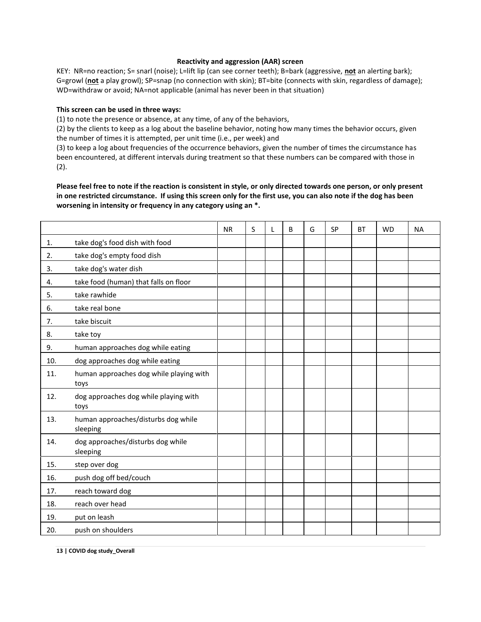#### **Reactivity and aggression (AAR) screen**

KEY: NR=no reaction; S= snarl (noise); L=lift lip (can see corner teeth); B=bark (aggressive, **not** an alerting bark); G=growl (**not** a play growl); SP=snap (no connection with skin); BT=bite (connects with skin, regardless of damage); WD=withdraw or avoid; NA=not applicable (animal has never been in that situation)

#### **This screen can be used in three ways:**

(1) to note the presence or absence, at any time, of any of the behaviors,

(2) by the clients to keep as a log about the baseline behavior, noting how many times the behavior occurs, given the number of times it is attempted, per unit time (i.e., per week) and

(3) to keep a log about frequencies of the occurrence behaviors, given the number of times the circumstance has been encountered, at different intervals during treatment so that these numbers can be compared with those in (2).

**Please feel free to note if the reaction is consistent in style, or only directed towards one person, or only present in one restricted circumstance. If using this screen only for the first use, you can also note if the dog has been worsening in intensity or frequency in any category using an \*.** 

|     |                                                 | <b>NR</b> | S | L | B | G | <b>SP</b> | <b>BT</b> | <b>WD</b> | <b>NA</b> |
|-----|-------------------------------------------------|-----------|---|---|---|---|-----------|-----------|-----------|-----------|
| 1.  | take dog's food dish with food                  |           |   |   |   |   |           |           |           |           |
| 2.  | take dog's empty food dish                      |           |   |   |   |   |           |           |           |           |
| 3.  | take dog's water dish                           |           |   |   |   |   |           |           |           |           |
| 4.  | take food (human) that falls on floor           |           |   |   |   |   |           |           |           |           |
| 5.  | take rawhide                                    |           |   |   |   |   |           |           |           |           |
| 6.  | take real bone                                  |           |   |   |   |   |           |           |           |           |
| 7.  | take biscuit                                    |           |   |   |   |   |           |           |           |           |
| 8.  | take toy                                        |           |   |   |   |   |           |           |           |           |
| 9.  | human approaches dog while eating               |           |   |   |   |   |           |           |           |           |
| 10. | dog approaches dog while eating                 |           |   |   |   |   |           |           |           |           |
| 11. | human approaches dog while playing with<br>toys |           |   |   |   |   |           |           |           |           |
| 12. | dog approaches dog while playing with<br>toys   |           |   |   |   |   |           |           |           |           |
| 13. | human approaches/disturbs dog while<br>sleeping |           |   |   |   |   |           |           |           |           |
| 14. | dog approaches/disturbs dog while<br>sleeping   |           |   |   |   |   |           |           |           |           |
| 15. | step over dog                                   |           |   |   |   |   |           |           |           |           |
| 16. | push dog off bed/couch                          |           |   |   |   |   |           |           |           |           |
| 17. | reach toward dog                                |           |   |   |   |   |           |           |           |           |
| 18. | reach over head                                 |           |   |   |   |   |           |           |           |           |
| 19. | put on leash                                    |           |   |   |   |   |           |           |           |           |
| 20. | push on shoulders                               |           |   |   |   |   |           |           |           |           |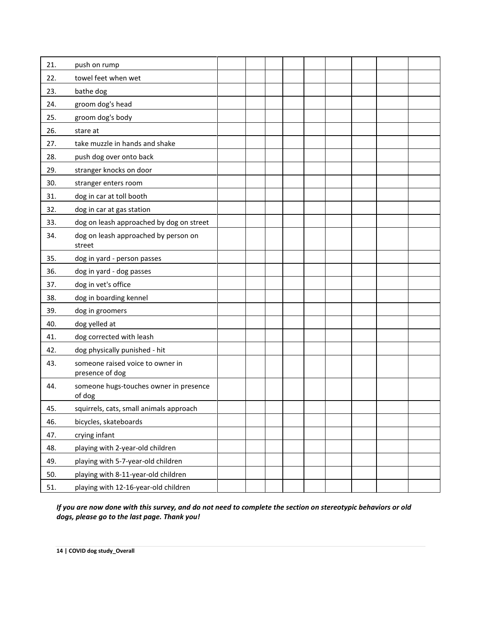| 21. | push on rump                                        |  |  |  |  |  |
|-----|-----------------------------------------------------|--|--|--|--|--|
| 22. | towel feet when wet                                 |  |  |  |  |  |
| 23. | bathe dog                                           |  |  |  |  |  |
| 24. | groom dog's head                                    |  |  |  |  |  |
| 25. | groom dog's body                                    |  |  |  |  |  |
| 26. | stare at                                            |  |  |  |  |  |
| 27. | take muzzle in hands and shake                      |  |  |  |  |  |
| 28. | push dog over onto back                             |  |  |  |  |  |
| 29. | stranger knocks on door                             |  |  |  |  |  |
| 30. | stranger enters room                                |  |  |  |  |  |
| 31. | dog in car at toll booth                            |  |  |  |  |  |
| 32. | dog in car at gas station                           |  |  |  |  |  |
| 33. | dog on leash approached by dog on street            |  |  |  |  |  |
| 34. | dog on leash approached by person on<br>street      |  |  |  |  |  |
| 35. | dog in yard - person passes                         |  |  |  |  |  |
| 36. | dog in yard - dog passes                            |  |  |  |  |  |
| 37. | dog in vet's office                                 |  |  |  |  |  |
| 38. | dog in boarding kennel                              |  |  |  |  |  |
| 39. | dog in groomers                                     |  |  |  |  |  |
| 40. | dog yelled at                                       |  |  |  |  |  |
| 41. | dog corrected with leash                            |  |  |  |  |  |
| 42. | dog physically punished - hit                       |  |  |  |  |  |
| 43. | someone raised voice to owner in<br>presence of dog |  |  |  |  |  |
| 44. | someone hugs-touches owner in presence<br>of dog    |  |  |  |  |  |
| 45. | squirrels, cats, small animals approach             |  |  |  |  |  |
| 46. | bicycles, skateboards                               |  |  |  |  |  |
| 47. | crying infant                                       |  |  |  |  |  |
| 48. | playing with 2-year-old children                    |  |  |  |  |  |
| 49. | playing with 5-7-year-old children                  |  |  |  |  |  |
| 50. | playing with 8-11-year-old children                 |  |  |  |  |  |
| 51. | playing with 12-16-year-old children                |  |  |  |  |  |

*If you are now done with this survey, and do not need to complete the section on stereotypic behaviors or old dogs, please go to the last page. Thank you!*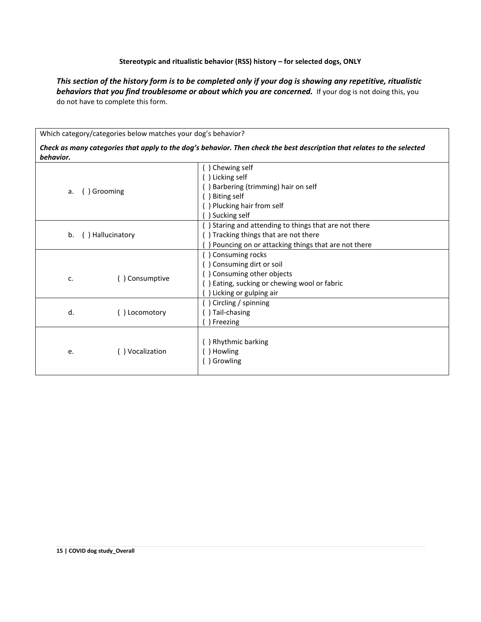## **Stereotypic and ritualistic behavior (RSS) history – for selected dogs, ONLY**

*This section of the history form is to be completed only if your dog is showing any repetitive, ritualistic*  **behaviors that you find troublesome or about which you are concerned.** If your dog is not doing this, you do not have to complete this form.

Which category/categories below matches your dog's behavior?

*Check as many categories that apply to the dog's behavior. Then check the best description that relates to the selected behavior.*

|                       | ) Chewing self<br>) Licking self<br>Barbering (trimming) hair on self                        |
|-----------------------|----------------------------------------------------------------------------------------------|
| ) Grooming<br>a.      | <b>Biting self</b><br>) Plucking hair from self<br>Sucking self                              |
| ) Hallucinatory<br>b. | ) Staring and attending to things that are not there<br>) Tracking things that are not there |
|                       | Pouncing on or attacking things that are not there                                           |
|                       | ) Consuming rocks                                                                            |
|                       | ) Consuming dirt or soil                                                                     |
| () Consumptive<br>c.  | ) Consuming other objects                                                                    |
|                       | ) Eating, sucking or chewing wool or fabric                                                  |
|                       | Licking or gulping air                                                                       |
|                       | ) Circling / spinning                                                                        |
| d.<br>() Locomotory   | ) Tail-chasing                                                                               |
|                       | Freezing                                                                                     |
|                       | ) Rhythmic barking                                                                           |
| () Vocalization<br>e. | Howling                                                                                      |
|                       | ) Growling                                                                                   |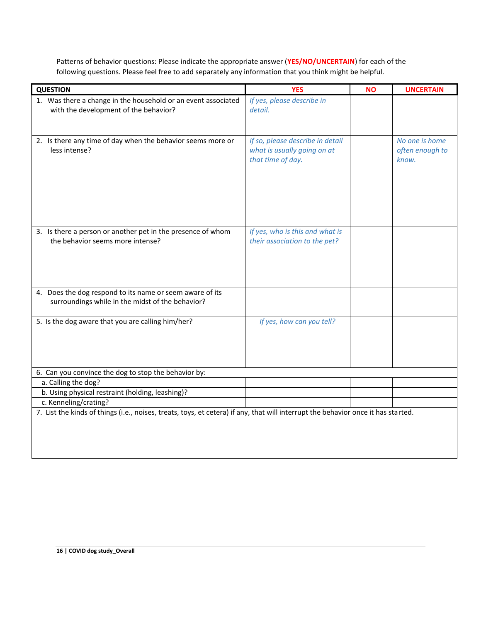Patterns of behavior questions: Please indicate the appropriate answer (**YES/NO/UNCERTAIN**) for each of the following questions. Please feel free to add separately any information that you think might be helpful.

| <b>QUESTION</b>                                                                                                                   | <b>YES</b>                       | <b>NO</b> | <b>UNCERTAIN</b> |  |  |  |
|-----------------------------------------------------------------------------------------------------------------------------------|----------------------------------|-----------|------------------|--|--|--|
| 1. Was there a change in the household or an event associated                                                                     | If yes, please describe in       |           |                  |  |  |  |
| with the development of the behavior?                                                                                             | detail.                          |           |                  |  |  |  |
|                                                                                                                                   |                                  |           |                  |  |  |  |
| 2. Is there any time of day when the behavior seems more or                                                                       | If so, please describe in detail |           | No one is home   |  |  |  |
| less intense?                                                                                                                     | what is usually going on at      |           | often enough to  |  |  |  |
|                                                                                                                                   | that time of day.                |           | know.            |  |  |  |
|                                                                                                                                   |                                  |           |                  |  |  |  |
|                                                                                                                                   |                                  |           |                  |  |  |  |
|                                                                                                                                   |                                  |           |                  |  |  |  |
|                                                                                                                                   |                                  |           |                  |  |  |  |
|                                                                                                                                   |                                  |           |                  |  |  |  |
| 3. Is there a person or another pet in the presence of whom                                                                       | If yes, who is this and what is  |           |                  |  |  |  |
| the behavior seems more intense?                                                                                                  | their association to the pet?    |           |                  |  |  |  |
|                                                                                                                                   |                                  |           |                  |  |  |  |
|                                                                                                                                   |                                  |           |                  |  |  |  |
|                                                                                                                                   |                                  |           |                  |  |  |  |
| 4. Does the dog respond to its name or seem aware of its                                                                          |                                  |           |                  |  |  |  |
| surroundings while in the midst of the behavior?                                                                                  |                                  |           |                  |  |  |  |
|                                                                                                                                   |                                  |           |                  |  |  |  |
| 5. Is the dog aware that you are calling him/her?                                                                                 | If yes, how can you tell?        |           |                  |  |  |  |
|                                                                                                                                   |                                  |           |                  |  |  |  |
|                                                                                                                                   |                                  |           |                  |  |  |  |
|                                                                                                                                   |                                  |           |                  |  |  |  |
| 6. Can you convince the dog to stop the behavior by:                                                                              |                                  |           |                  |  |  |  |
| a. Calling the dog?                                                                                                               |                                  |           |                  |  |  |  |
| b. Using physical restraint (holding, leashing)?                                                                                  |                                  |           |                  |  |  |  |
| c. Kenneling/crating?                                                                                                             |                                  |           |                  |  |  |  |
| 7. List the kinds of things (i.e., noises, treats, toys, et cetera) if any, that will interrupt the behavior once it has started. |                                  |           |                  |  |  |  |
|                                                                                                                                   |                                  |           |                  |  |  |  |
|                                                                                                                                   |                                  |           |                  |  |  |  |
|                                                                                                                                   |                                  |           |                  |  |  |  |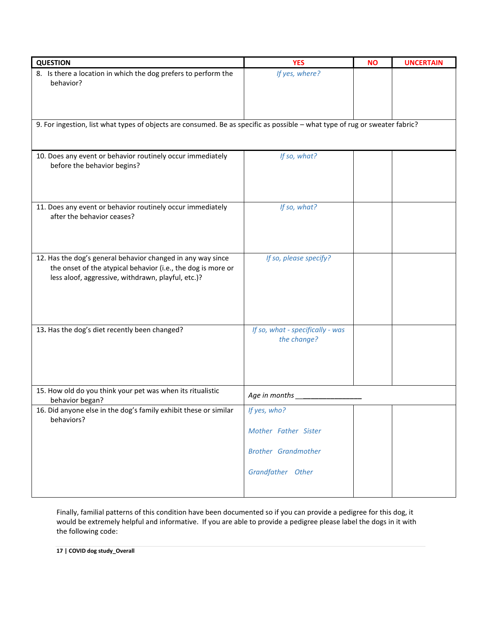| <b>QUESTION</b>                                                                                                                                                                   | <b>YES</b>                                      | <b>NO</b> | <b>UNCERTAIN</b> |
|-----------------------------------------------------------------------------------------------------------------------------------------------------------------------------------|-------------------------------------------------|-----------|------------------|
| 8. Is there a location in which the dog prefers to perform the<br>behavior?                                                                                                       | If yes, where?                                  |           |                  |
| 9. For ingestion, list what types of objects are consumed. Be as specific as possible - what type of rug or sweater fabric?                                                       |                                                 |           |                  |
|                                                                                                                                                                                   |                                                 |           |                  |
| 10. Does any event or behavior routinely occur immediately<br>before the behavior begins?                                                                                         | If so, what?                                    |           |                  |
|                                                                                                                                                                                   |                                                 |           |                  |
| 11. Does any event or behavior routinely occur immediately<br>after the behavior ceases?                                                                                          | If so, what?                                    |           |                  |
|                                                                                                                                                                                   |                                                 |           |                  |
| 12. Has the dog's general behavior changed in any way since<br>the onset of the atypical behavior (i.e., the dog is more or<br>less aloof, aggressive, withdrawn, playful, etc.)? | If so, please specify?                          |           |                  |
|                                                                                                                                                                                   |                                                 |           |                  |
| 13. Has the dog's diet recently been changed?                                                                                                                                     | If so, what - specifically - was<br>the change? |           |                  |
| 15. How old do you think your pet was when its ritualistic                                                                                                                        | Age in months                                   |           |                  |
| behavior began?<br>16. Did anyone else in the dog's family exhibit these or similar                                                                                               | If yes, who?                                    |           |                  |
| behaviors?                                                                                                                                                                        |                                                 |           |                  |
|                                                                                                                                                                                   | Mother Father Sister                            |           |                  |
|                                                                                                                                                                                   | <b>Brother Grandmother</b>                      |           |                  |
|                                                                                                                                                                                   | Grandfather Other                               |           |                  |
|                                                                                                                                                                                   |                                                 |           |                  |

Finally, familial patterns of this condition have been documented so if you can provide a pedigree for this dog, it would be extremely helpful and informative. If you are able to provide a pedigree please label the dogs in it with the following code: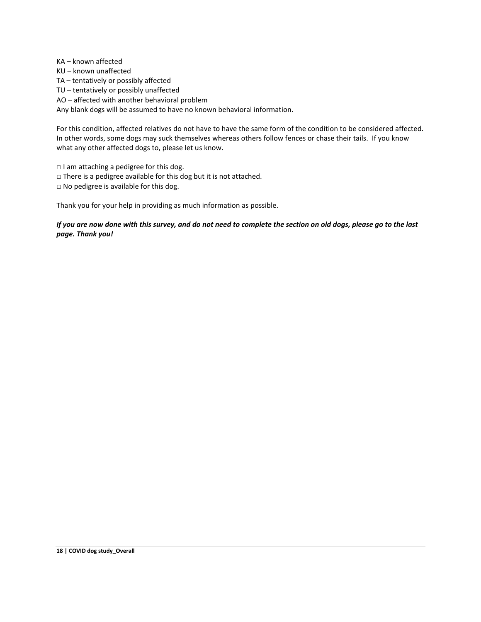KA – known affected KU – known unaffected TA – tentatively or possibly affected TU – tentatively or possibly unaffected AO – affected with another behavioral problem Any blank dogs will be assumed to have no known behavioral information.

For this condition, affected relatives do not have to have the same form of the condition to be considered affected. In other words, some dogs may suck themselves whereas others follow fences or chase their tails. If you know what any other affected dogs to, please let us know.

□ I am attaching a pedigree for this dog.

□ There is a pedigree available for this dog but it is not attached.

□ No pedigree is available for this dog.

Thank you for your help in providing as much information as possible.

*If you are now done with this survey, and do not need to complete the section on old dogs, please go to the last page. Thank you!*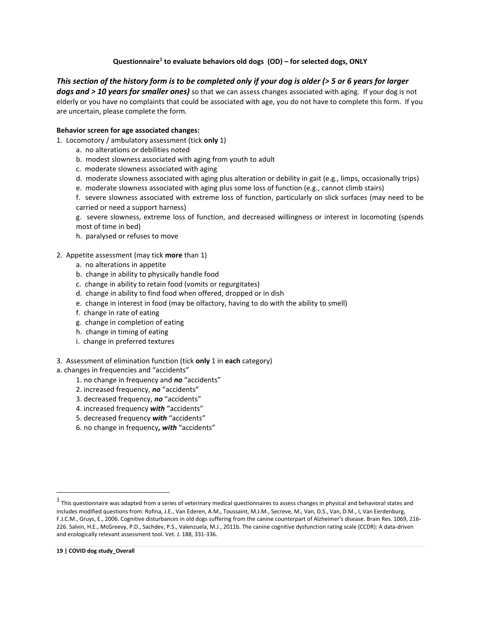## **Questionnaire<sup>1</sup> to evaluate behaviors old dogs (OD) – for selected dogs, ONLY**

# *This section of the history form is to be completed only if your dog is older (> 5 or 6 years for larger*

*dogs and > 10 years for smaller ones)* so that we can assess changes associated with aging. If your dog is not elderly or you have no complaints that could be associated with age, you do not have to complete this form. If you are uncertain, please complete the form.

## **Behavior screen for age associated changes:**

- 1. Locomotory / ambulatory assessment (tick **only** 1)
	- a. no alterations or debilities noted
	- b. modest slowness associated with aging from youth to adult
	- c. moderate slowness associated with aging
	- d. moderate slowness associated with aging plus alteration or debility in gait (e.g., limps, occasionally trips)
	- e. moderate slowness associated with aging plus some loss of function (e.g., cannot climb stairs)

f. severe slowness associated with extreme loss of function, particularly on slick surfaces (may need to be carried or need a support harness)

g. severe slowness, extreme loss of function, and decreased willingness or interest in locomoting (spends most of time in bed)

h. paralysed or refuses to move

## 2. Appetite assessment (may tick **more** than 1)

- a. no alterations in appetite
- b. change in ability to physically handle food
- c. change in ability to retain food (vomits or regurgitates)
- d. change in ability to find food when offered, dropped or in dish
- e. change in interest in food (may be olfactory, having to do with the ability to smell)
- f. change in rate of eating
- g. change in completion of eating
- h. change in timing of eating
- i. change in preferred textures

## 3. Assessment of elimination function (tick **only** 1 in **each** category)

## a. changes in frequencies and "accidents"

- 1. no change in frequency and *no* "accidents"
- 2. increased frequency, *no* "accidents"
- 3. decreased frequency, *no* "accidents"
- 4. increased frequency *with* "accidents"
- 5. decreased frequency *with* "accidents"
- 6. no change in frequency*, with* "accidents"

 $<sup>1</sup>$  This questionnaire was adapted from a series of veterinary medical questionnaires to assess changes in physical and behavioral states and</sup> includes modified questions from: Rofina, J.E., Van Ederen, A.M., Toussaint, M.J.M., Secreve, M., Van, D.S., Van, D.M., I, Van Eerdenburg, F.J.C.M., Gruys, E., 2006. Cognitive disturbances in old dogs suffering from the canine counterpart of Alzheimer's disease. Brain Res. 1069, 216- 226. Salvin, H.E., McGreevy, P.D., Sachdev, P.S., Valenzuela, M.J., 2011b. The canine cognitive dysfunction rating scale (CCDR): A data-driven and ecologically relevant assessment tool. Vet. J. 188, 331-336.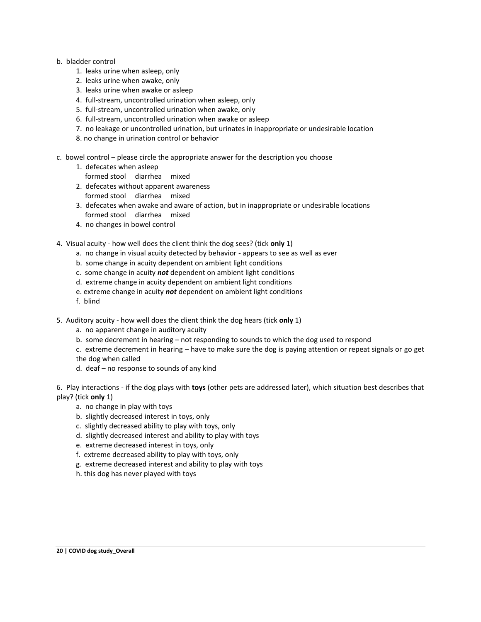#### b. bladder control

- 1. leaks urine when asleep, only
- 2. leaks urine when awake, only
- 3. leaks urine when awake or asleep
- 4. full-stream, uncontrolled urination when asleep, only
- 5. full-stream, uncontrolled urination when awake, only
- 6. full-stream, uncontrolled urination when awake or asleep
- 7. no leakage or uncontrolled urination, but urinates in inappropriate or undesirable location
- 8. no change in urination control or behavior
- c. bowel control please circle the appropriate answer for the description you choose
	- 1. defecates when asleep
		- formed stool diarrhea mixed
	- 2. defecates without apparent awareness
	- formed stool diarrhea mixed
	- 3. defecates when awake and aware of action, but in inappropriate or undesirable locations formed stool diarrhea mixed
	- 4. no changes in bowel control

## 4. Visual acuity - how well does the client think the dog sees? (tick **only** 1)

- a. no change in visual acuity detected by behavior appears to see as well as ever
- b. some change in acuity dependent on ambient light conditions
- c. some change in acuity *not* dependent on ambient light conditions
- d. extreme change in acuity dependent on ambient light conditions
- e. extreme change in acuity *not* dependent on ambient light conditions
- f. blind
- 5. Auditory acuity how well does the client think the dog hears (tick **only** 1)
	- a. no apparent change in auditory acuity
	- b. some decrement in hearing not responding to sounds to which the dog used to respond
	- c. extreme decrement in hearing have to make sure the dog is paying attention or repeat signals or go get the dog when called
	- d. deaf no response to sounds of any kind

6. Play interactions - if the dog plays with **toys** (other pets are addressed later), which situation best describes that play? (tick **only** 1)

- a. no change in play with toys
- b. slightly decreased interest in toys, only
- c. slightly decreased ability to play with toys, only
- d. slightly decreased interest and ability to play with toys
- e. extreme decreased interest in toys, only
- f. extreme decreased ability to play with toys, only
- g. extreme decreased interest and ability to play with toys
- h. this dog has never played with toys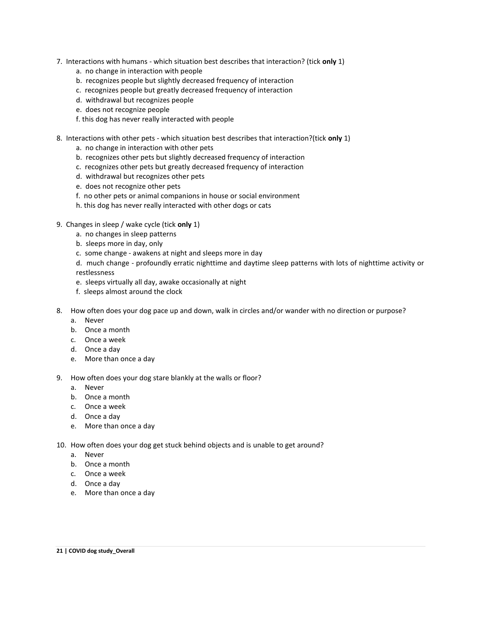- 7. Interactions with humans which situation best describes that interaction? (tick **only** 1)
	- a. no change in interaction with people
	- b. recognizes people but slightly decreased frequency of interaction
	- c. recognizes people but greatly decreased frequency of interaction
	- d. withdrawal but recognizes people
	- e. does not recognize people
	- f. this dog has never really interacted with people
- 8. Interactions with other pets which situation best describes that interaction?(tick **only** 1)
	- a. no change in interaction with other pets
	- b. recognizes other pets but slightly decreased frequency of interaction
	- c. recognizes other pets but greatly decreased frequency of interaction
	- d. withdrawal but recognizes other pets
	- e. does not recognize other pets
	- f. no other pets or animal companions in house or social environment
	- h. this dog has never really interacted with other dogs or cats
- 9. Changes in sleep / wake cycle (tick **only** 1)
	- a. no changes in sleep patterns
	- b. sleeps more in day, only
	- c. some change awakens at night and sleeps more in day
	- d. much change profoundly erratic nighttime and daytime sleep patterns with lots of nighttime activity or restlessness
	- e. sleeps virtually all day, awake occasionally at night
	- f. sleeps almost around the clock
- 8. How often does your dog pace up and down, walk in circles and/or wander with no direction or purpose?
	- a. Never
	- b. Once a month
	- c. Once a week
	- d. Once a day
	- e. More than once a day
- 9. How often does your dog stare blankly at the walls or floor?
	- a. Never
	- b. Once a month
	- c. Once a week
	- d. Once a day
	- e. More than once a day
- 10. How often does your dog get stuck behind objects and is unable to get around?
	- a. Never
	- b. Once a month
	- c. Once a week
	- d. Once a day
	- e. More than once a day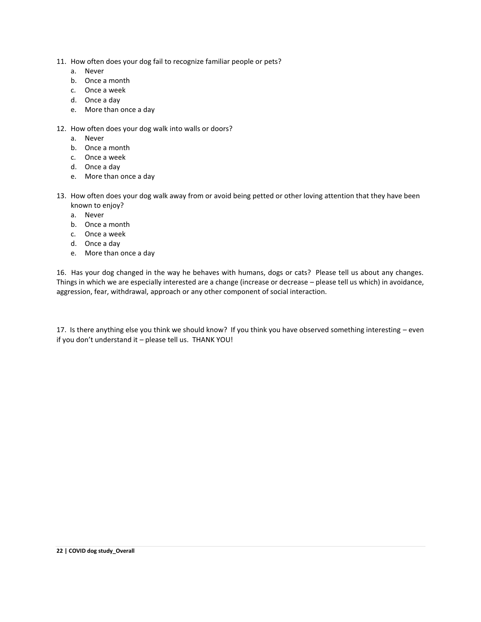- 11. How often does your dog fail to recognize familiar people or pets?
	- a. Never
	- b. Once a month
	- c. Once a week
	- d. Once a day
	- e. More than once a day
- 12. How often does your dog walk into walls or doors?
	- a. Never
	- b. Once a month
	- c. Once a week
	- d. Once a day
	- e. More than once a day
- 13. How often does your dog walk away from or avoid being petted or other loving attention that they have been known to enjoy?
	- a. Never
	- b. Once a month
	- c. Once a week
	- d. Once a day
	- e. More than once a day

16. Has your dog changed in the way he behaves with humans, dogs or cats? Please tell us about any changes. Things in which we are especially interested are a change (increase or decrease – please tell us which) in avoidance, aggression, fear, withdrawal, approach or any other component of social interaction.

17. Is there anything else you think we should know? If you think you have observed something interesting – even if you don't understand it – please tell us. THANK YOU!